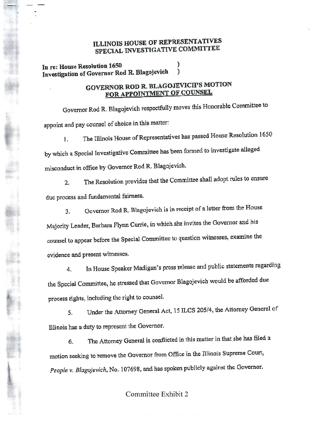## ILLINOIS HOUSE OF REPRESENTATIVES SPECIAL INVESTIGATIVE <sup>C</sup>OMMITIEE

**In** re: House Resolution 1650 Investigation of Governor Rod R. Blagojevich )

## GOVERNOR ROD R. BLAGOJEVICH'S MOTION FOR APPOINTMENT OF COUNSEL

Governor Rod R. Blagojevich respectfully moves this Honorable Committee to **appoint and pay counsel of choice in this matter:**

I. The Illinois House of Representatives has passe<sup>d</sup> House Resolution <sup>1650</sup> **bywhich <sup>a</sup> SpecialInvestigative Committee has been formed to investigate alleged misconduct in office by Governor Rod R. Blagojevicb.**

2. The Resolution provides that the Committee shall adopt rules to ensure **dueprocess an<sup>d</sup> <sup>f</sup>undamental fairness.**

**3. Governor Rod R. Blagojevich is in receipt of <sup>a</sup> letter fro<sup>m</sup> the House** Majority Leader, Barbara Flynn Currie, in which she invites the Governor and his **counsel to appea<sup>r</sup> before the Special Committee to question witnesses. examine the evidence and presentwitnesses.**

4. In House Speaker Madigan's press release and public statements regarding the Special Committee, he stressed that Governor Blagojevieh would be afforded due **<sup>p</sup>rocess rights, including theright to counsel.**

5. Under the Attorney General Act. <sup>15</sup> ILCS <sup>205</sup>14, the Attorney General of **Illinois has <sup>a</sup> duty to <sup>r</sup>epresentthe Governor.**

6. The Attorney General is conflicted in this matter in that she has filed a **motion seeking to remove the Governor from Office in the** Illinois **Supreme Court,** *People* v. *Blagoj evich,* No. 107698, and has spoken publicly against the Governor.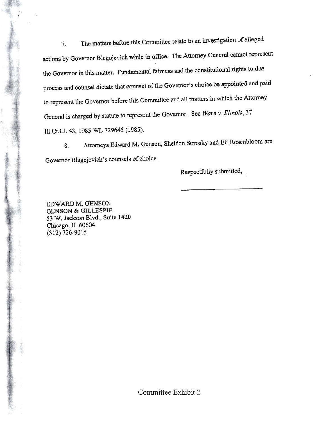7. **The matters before this Committee relate to aninvestigation of alleged** actions by Governor Blagojevich while in office. The Attorney General cannot represent **the Governo<sup>r</sup> inthis matter. Fundamental fairness and the constitutional rights to due process** and **counsel dictate that counsel** ofthe **Governor's choicebe appointed and paid to represent the Governor before this Committee and all matters inwhich the Attorney** General is charged by statute to represen<sup>t</sup> the Governor. See *Ware v. illinois, <sup>37</sup>* ru.ceci 43,1985 WL 729645 (1985).

8. Attorneys Edward M. Genson, Sheldon Sorosky and Eli Rosenbloom are **Governor** Blagcjevich's **counsels** of choice.

Respectfully submitted,

EDWARDM. GENSON GENSON & GILLESPIE 53 W. Jackson Blvd., Suite 1420 Chicago, IL 60604 (312) 726-9015

Committee Exhibit 2